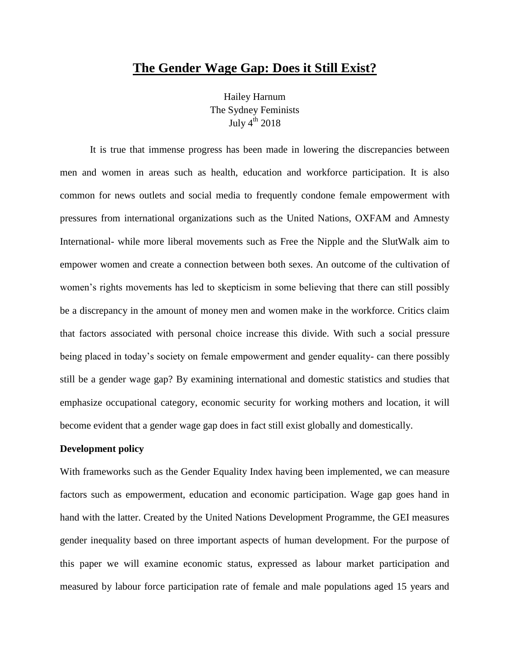# **The Gender Wage Gap: Does it Still Exist?**

Hailey Harnum The Sydney Feminists July  $4^{th}$  2018

It is true that immense progress has been made in lowering the discrepancies between men and women in areas such as health, education and workforce participation. It is also common for news outlets and social media to frequently condone female empowerment with pressures from international organizations such as the United Nations, OXFAM and Amnesty International- while more liberal movements such as Free the Nipple and the SlutWalk aim to empower women and create a connection between both sexes. An outcome of the cultivation of women's rights movements has led to skepticism in some believing that there can still possibly be a discrepancy in the amount of money men and women make in the workforce. Critics claim that factors associated with personal choice increase this divide. With such a social pressure being placed in today's society on female empowerment and gender equality- can there possibly still be a gender wage gap? By examining international and domestic statistics and studies that emphasize occupational category, economic security for working mothers and location, it will become evident that a gender wage gap does in fact still exist globally and domestically.

# **Development policy**

With frameworks such as the Gender Equality Index having been implemented, we can measure factors such as empowerment, education and economic participation. Wage gap goes hand in hand with the latter. Created by the United Nations Development Programme, the GEI measures gender inequality based on three important aspects of human development. For the purpose of this paper we will examine economic status, expressed as labour market participation and measured by labour force participation rate of female and male populations aged 15 years and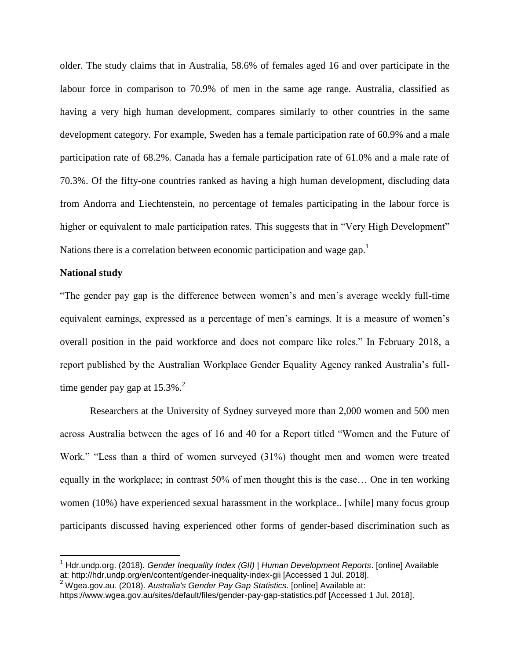older. The study claims that in Australia, 58.6% of females aged 16 and over participate in the labour force in comparison to 70.9% of men in the same age range. Australia, classified as having a very high human development, compares similarly to other countries in the same development category. For example, Sweden has a female participation rate of 60.9% and a male participation rate of 68.2%. Canada has a female participation rate of 61.0% and a male rate of 70.3%. Of the fifty-one countries ranked as having a high human development, discluding data from Andorra and Liechtenstein, no percentage of females participating in the labour force is higher or equivalent to male participation rates. This suggests that in "Very High Development" Nations there is a correlation between economic participation and wage gap.<sup>1</sup>

## **National study**

"The gender pay gap is the difference between women's and men's average weekly full-time equivalent earnings, expressed as a percentage of men's earnings. It is a measure of women's overall position in the paid workforce and does not compare like roles." In February 2018, a report published by the Australian Workplace Gender Equality Agency ranked Australia's fulltime gender pay gap at  $15.3\%$ .<sup>2</sup>

Researchers at the University of Sydney surveyed more than 2,000 women and 500 men across Australia between the ages of 16 and 40 for a Report titled "Women and the Future of Work." "Less than a third of women surveyed (31%) thought men and women were treated equally in the workplace; in contrast 50% of men thought this is the case… One in ten working women (10%) have experienced sexual harassment in the workplace.. [while] many focus group participants discussed having experienced other forms of gender-based discrimination such as

<sup>1</sup> Hdr.undp.org. (2018). *Gender Inequality Index (GII) | Human Development Reports*. [online] Available at: http://hdr.undp.org/en/content/gender-inequality-index-gii [Accessed 1 Jul. 2018].

<sup>2</sup> Wgea.gov.au. (2018). *Australia's Gender Pay Gap Statistics*. [online] Available at:

https://www.wgea.gov.au/sites/default/files/gender-pay-gap-statistics.pdf [Accessed 1 Jul. 2018].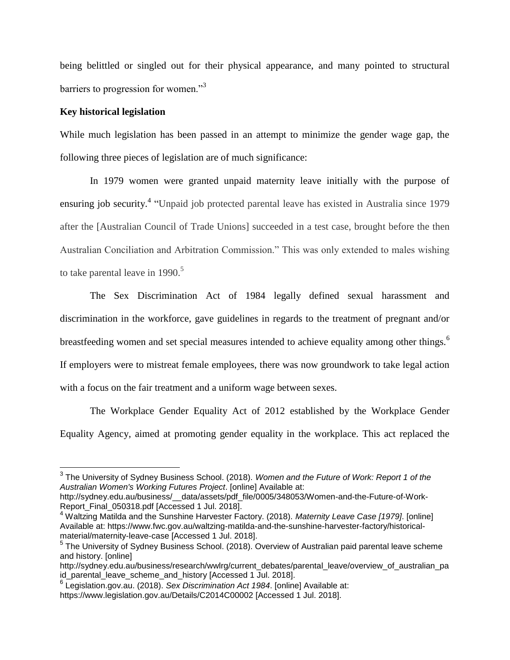being belittled or singled out for their physical appearance, and many pointed to structural barriers to progression for women."<sup>3</sup>

# **Key historical legislation**

While much legislation has been passed in an attempt to minimize the gender wage gap, the following three pieces of legislation are of much significance:

In 1979 women were granted unpaid maternity leave initially with the purpose of ensuring job security.<sup>4</sup> "Unpaid job protected parental leave has existed in Australia since 1979 after the [Australian Council of Trade Unions] succeeded in a test case, brought before the then Australian Conciliation and Arbitration Commission." This was only extended to males wishing to take parental leave in  $1990$ <sup>5</sup>

The Sex Discrimination Act of 1984 legally defined sexual harassment and discrimination in the workforce, gave guidelines in regards to the treatment of pregnant and/or breastfeeding women and set special measures intended to achieve equality among other things.<sup>6</sup> If employers were to mistreat female employees, there was now groundwork to take legal action with a focus on the fair treatment and a uniform wage between sexes.

The Workplace Gender Equality Act of 2012 established by the Workplace Gender Equality Agency, aimed at promoting gender equality in the workplace. This act replaced the

<sup>3</sup> The University of Sydney Business School. (2018). *Women and the Future of Work: Report 1 of the Australian Women's Working Futures Project*. [online] Available at:

http://sydney.edu.au/business/\_\_data/assets/pdf\_file/0005/348053/Women-and-the-Future-of-Work-Report\_Final\_050318.pdf [Accessed 1 Jul. 2018].

<sup>4</sup> Waltzing Matilda and the Sunshine Harvester Factory. (2018). *Maternity Leave Case [1979]*. [online] Available at: https://www.fwc.gov.au/waltzing-matilda-and-the-sunshine-harvester-factory/historicalmaterial/maternity-leave-case [Accessed 1 Jul. 2018].

<sup>&</sup>lt;sup>5</sup> The University of Sydney Business School. (2018). Overview of Australian paid parental leave scheme and history. [online]

http://sydney.edu.au/business/research/wwlrg/current\_debates/parental\_leave/overview\_of\_australian\_pa id\_parental\_leave\_scheme\_and\_history [Accessed 1 Jul. 2018].

<sup>6</sup> Legislation.gov.au. (2018). *Sex Discrimination Act 1984*. [online] Available at: https://www.legislation.gov.au/Details/C2014C00002 [Accessed 1 Jul. 2018].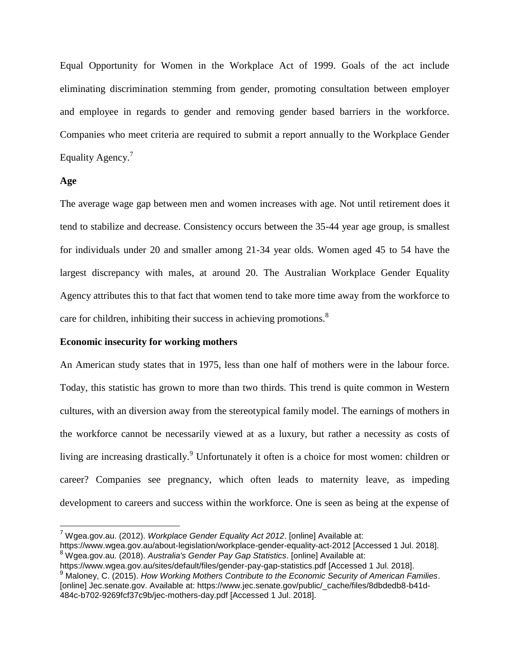Equal Opportunity for Women in the Workplace Act of 1999. Goals of the act include eliminating discrimination stemming from gender, promoting consultation between employer and employee in regards to gender and removing gender based barriers in the workforce. Companies who meet criteria are required to submit a report annually to the Workplace Gender Equality Agency.<sup>7</sup>

## **Age**

 $\overline{a}$ 

The average wage gap between men and women increases with age. Not until retirement does it tend to stabilize and decrease. Consistency occurs between the 35-44 year age group, is smallest for individuals under 20 and smaller among 21-34 year olds. Women aged 45 to 54 have the largest discrepancy with males, at around 20. The Australian Workplace Gender Equality Agency attributes this to that fact that women tend to take more time away from the workforce to care for children, inhibiting their success in achieving promotions.<sup>8</sup>

#### **Economic insecurity for working mothers**

An American study states that in 1975, less than one half of mothers were in the labour force. Today, this statistic has grown to more than two thirds. This trend is quite common in Western cultures, with an diversion away from the stereotypical family model. The earnings of mothers in the workforce cannot be necessarily viewed at as a luxury, but rather a necessity as costs of living are increasing drastically.<sup>9</sup> Unfortunately it often is a choice for most women: children or career? Companies see pregnancy, which often leads to maternity leave, as impeding development to careers and success within the workforce. One is seen as being at the expense of

<sup>7</sup> Wgea.gov.au. (2012). *Workplace Gender Equality Act 2012*. [online] Available at:

https://www.wgea.gov.au/about-legislation/workplace-gender-equality-act-2012 [Accessed 1 Jul. 2018]. <sup>8</sup> Wgea.gov.au. (2018). *Australia's Gender Pay Gap Statistics*. [online] Available at:

https://www.wgea.gov.au/sites/default/files/gender-pay-gap-statistics.pdf [Accessed 1 Jul. 2018]. <sup>9</sup> Maloney, C. (2015). *How Working Mothers Contribute to the Economic Security of American Families*. [online] Jec.senate.gov. Available at: https://www.jec.senate.gov/public/\_cache/files/8dbdedb8-b41d-484c-b702-9269fcf37c9b/jec-mothers-day.pdf [Accessed 1 Jul. 2018].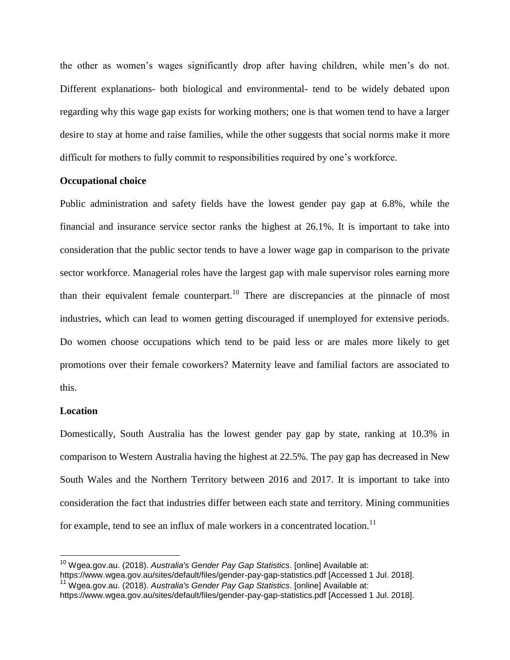the other as women's wages significantly drop after having children, while men's do not. Different explanations- both biological and environmental- tend to be widely debated upon regarding why this wage gap exists for working mothers; one is that women tend to have a larger desire to stay at home and raise families, while the other suggests that social norms make it more difficult for mothers to fully commit to responsibilities required by one's workforce.

# **Occupational choice**

Public administration and safety fields have the lowest gender pay gap at 6.8%, while the financial and insurance service sector ranks the highest at 26.1%. It is important to take into consideration that the public sector tends to have a lower wage gap in comparison to the private sector workforce. Managerial roles have the largest gap with male supervisor roles earning more than their equivalent female counterpart.<sup>10</sup> There are discrepancies at the pinnacle of most industries, which can lead to women getting discouraged if unemployed for extensive periods. Do women choose occupations which tend to be paid less or are males more likely to get promotions over their female coworkers? Maternity leave and familial factors are associated to this.

#### **Location**

Domestically, South Australia has the lowest gender pay gap by state, ranking at 10.3% in comparison to Western Australia having the highest at 22.5%. The pay gap has decreased in New South Wales and the Northern Territory between 2016 and 2017. It is important to take into consideration the fact that industries differ between each state and territory. Mining communities for example, tend to see an influx of male workers in a concentrated location.<sup>11</sup>

<sup>10</sup> Wgea.gov.au. (2018). *Australia's Gender Pay Gap Statistics*. [online] Available at:

https://www.wgea.gov.au/sites/default/files/gender-pay-gap-statistics.pdf [Accessed 1 Jul. 2018].

<sup>11</sup> Wgea.gov.au. (2018). *Australia's Gender Pay Gap Statistics*. [online] Available at: https://www.wgea.gov.au/sites/default/files/gender-pay-gap-statistics.pdf [Accessed 1 Jul. 2018].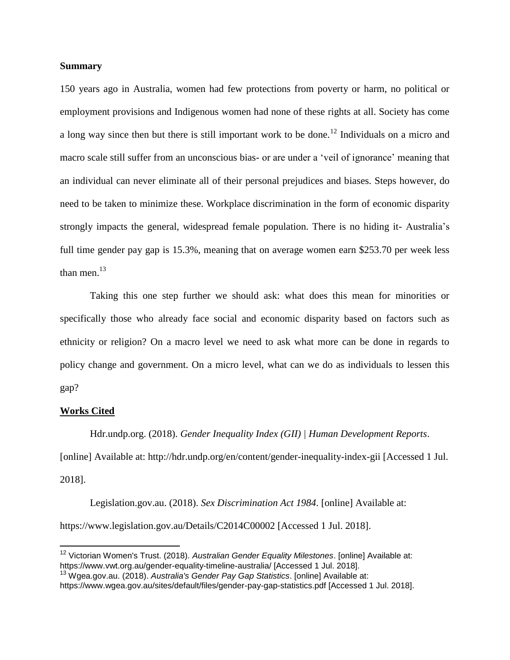## **Summary**

150 years ago in Australia, women had few protections from poverty or harm, no political or employment provisions and Indigenous women had none of these rights at all. Society has come a long way since then but there is still important work to be done.<sup>12</sup> Individuals on a micro and macro scale still suffer from an unconscious bias- or are under a 'veil of ignorance' meaning that an individual can never eliminate all of their personal prejudices and biases. Steps however, do need to be taken to minimize these. Workplace discrimination in the form of economic disparity strongly impacts the general, widespread female population. There is no hiding it- Australia's full time gender pay gap is 15.3%, meaning that on average women earn \$253.70 per week less than men. $^{13}$ 

Taking this one step further we should ask: what does this mean for minorities or specifically those who already face social and economic disparity based on factors such as ethnicity or religion? On a macro level we need to ask what more can be done in regards to policy change and government. On a micro level, what can we do as individuals to lessen this gap?

#### **Works Cited**

Hdr.undp.org. (2018). *Gender Inequality Index (GII) | Human Development Reports*.

[online] Available at: http://hdr.undp.org/en/content/gender-inequality-index-gii [Accessed 1 Jul. 2018].

Legislation.gov.au. (2018). *Sex Discrimination Act 1984*. [online] Available at: https://www.legislation.gov.au/Details/C2014C00002 [Accessed 1 Jul. 2018].

<sup>&</sup>lt;sup>12</sup> Victorian Women's Trust. (2018). *Australian Gender Equality Milestones*. [online] Available at: https://www.vwt.org.au/gender-equality-timeline-australia/ [Accessed 1 Jul. 2018].

<sup>13</sup> Wgea.gov.au. (2018). *Australia's Gender Pay Gap Statistics*. [online] Available at:

https://www.wgea.gov.au/sites/default/files/gender-pay-gap-statistics.pdf [Accessed 1 Jul. 2018].